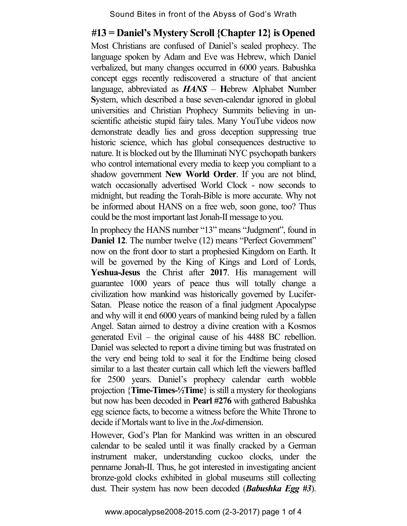## **#13 = Daniel's Mystery Scroll {Chapter 12} is Opened**

Most Christians are confused of Daniel's sealed prophecy. The language spoken by Adam and Eve was Hebrew, which Daniel verbalized, but many changes occurred in 6000 years. Babushka concept eggs recently rediscovered a structure of that ancient language, abbreviated as *HANS* – **H**ebrew **A**lphabet **N**umber **S**ystem, which described a base seven-calendar ignored in global universities and Christian Prophecy Summits believing in unscientific atheistic stupid fairy tales. Many YouTube videos now demonstrate deadly lies and gross deception suppressing true historic science, which has global consequences destructive to nature. It is blocked out by the Illuminati NYC psychopath bankers who control international every media to keep you compliant to a shadow government **New World Order**. If you are not blind, watch occasionally advertised World Clock - now seconds to midnight, but reading the Torah-Bible is more accurate. Why not be informed about HANS on a free web, soon gone, too? Thus could be the most important last Jonah-II message to you.

In prophecy the HANS number "13" means "Judgment", found in **Daniel 12.** The number twelve (12) means "Perfect Government" now on the front door to start a prophesied Kingdom on Earth. It will be governed by the King of Kings and Lord of Lords, **Yeshua-Jesus** the Christ after **2017**. His management will guarantee 1000 years of peace thus will totally change a civilization how mankind was historically governed by Lucifer-Satan. Please notice the reason of a final judgment Apocalypse and why will it end 6000 years of mankind being ruled by a fallen Angel. Satan aimed to destroy a divine creation with a Kosmos generated Evil – the original cause of his 4488 BC rebellion. Daniel was selected to report a divine timing but was frustrated on the very end being told to seal it for the Endtime being closed similar to a last theater curtain call which left the viewers baffled for 2500 years. Daniel's prophecy calendar earth wobble projection {**Time-Times-½Time**} is still a mystery for theologians but now has been decoded in **Pearl #276** with gathered Babushka egg science facts, to become a witness before the White Throne to decide if Mortals want to live in the *Jod*-dimension.

However, God's Plan for Mankind was written in an obscured calendar to be sealed until it was finally cracked by a German instrument maker, understanding cuckoo clocks, under the penname Jonah-II. Thus, he got interested in investigating ancient bronze-gold clocks exhibited in global museums still collecting dust. Their system has now been decoded (*Babushka Egg #3*).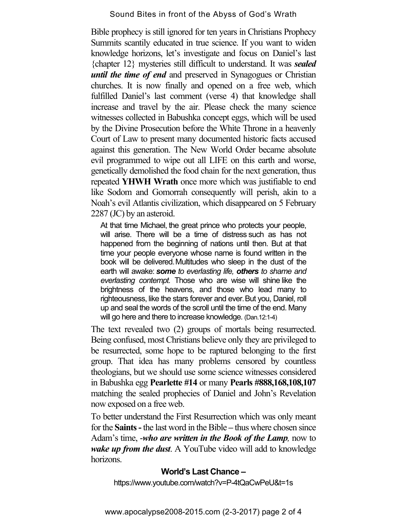Bible prophecy is still ignored for ten years in Christians Prophecy Summits scantily educated in true science. If you want to widen knowledge horizons, let's investigate and focus on Daniel's last {chapter 12} mysteries still difficult to understand. It was *sealed until the time of end* and preserved in Synagogues or Christian churches. It is now finally and opened on a free web, which fulfilled Daniel's last comment (verse 4) that knowledge shall increase and travel by the air. Please check the many science witnesses collected in Babushka concept eggs, which will be used by the Divine Prosecution before the White Throne in a heavenly Court of Law to present many documented historic facts accused against this generation. The New World Order became absolute evil programmed to wipe out all LIFE on this earth and worse, genetically demolished the food chain for the next generation, thus repeated **YHWH Wrath** once more which was justifiable to end like Sodom and Gomorrah consequently will perish, akin to a Noah's evil Atlantis civilization, which disappeared on 5 February 2287 (JC) by an asteroid.

At that time Michael, the great prince who protects your people, will arise. There will be a time of distress such as has not happened from the beginning of nations until then. But at that time your people everyone whose name is found written in the book will be delivered.Multitudes who sleep in the dust of the earth will awake: *some to everlasting life, others to shame and everlasting contempt.* Those who are wise will shine like the brightness of the heavens, and those who lead many to righteousness, like the stars forever and ever.But you, Daniel, roll up and seal the words of the scroll until the time of the end. Many will go here and there to increase knowledge. (Dan.12:1-4)

The text revealed two (2) groups of mortals being resurrected. Being confused, most Christians believe only they are privileged to be resurrected, some hope to be raptured belonging to the first group. That idea has many problems censored by countless theologians, but we should use some science witnesses considered in Babushka egg **Pearlette #14** or many **Pearls #888,168,108,107** matching the sealed prophecies of Daniel and John's Revelation now exposed on a free web.

To better understand the First Resurrection which was only meant for the **Saints -** the last word in the Bible **–** thus where chosen since Adam's time, -*who are written in the Book of the Lamp,* now to *wake up from the dust*. A YouTube video will add to knowledge horizons.

## **World's Last Chance –**

https://www.youtube.com/watch?v=P-4tQaCwPeU&t=1s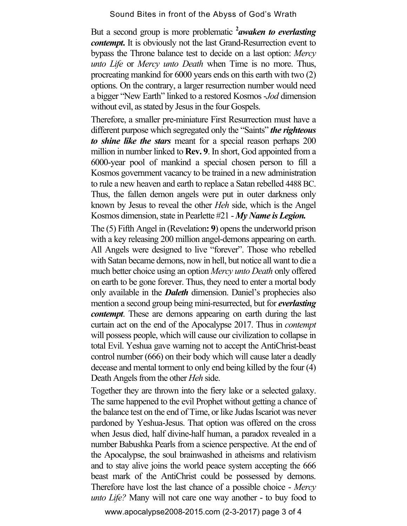But a second group is more problematic <sup>2</sup>*awaken to everlasting contempt***.** It is obviously not the last Grand-Resurrection event to bypass the Throne balance test to decide on a last option: *Mercy unto Life* or *Mercy unto Death* when Time is no more. Thus, procreating mankind for 6000 years ends on this earth with two (2) options. On the contrary, a larger resurrection number would need a bigger "New Earth" linked to a restored Kosmos -*Jod* dimension without evil, as stated by Jesus in the four Gospels.

Therefore, a smaller pre-miniature First Resurrection must have a different purpose which segregated only the "Saints" *the righteous to shine like the stars* meant for a special reason perhaps 200 million in number linked to **Rev. 9**. In short, God appointed from a 6000-year pool of mankind a special chosen person to fill a Kosmos government vacancy to be trained in a new administration to rule a new heaven and earth to replace a Satan rebelled 4488 BC. Thus, the fallen demon angels were put in outer darkness only known by Jesus to reveal the other *Heh* side, which is the Angel Kosmos dimension, state in Pearlette #21 - *My Name is Legion.*

The (5) Fifth Angel in (Revelation**: 9**) opens the underworld prison with a key releasing 200 million angel-demons appearing on earth. All Angels were designed to live "forever". Those who rebelled with Satan became demons, now in hell, but notice all want to die a much better choice using an option *Mercy unto Death* only offered on earth to be gone forever. Thus, they need to enter a mortal body only available in the *Daleth* dimension. Daniel's prophecies also mention a second group being mini-resurrected, but for *everlasting contempt*. These are demons appearing on earth during the last curtain act on the end of the Apocalypse 2017. Thus in *contempt* will possess people, which will cause our civilization to collapse in total Evil. Yeshua gave warning not to accept the AntiChrist-beast control number (666) on their body which will cause later a deadly decease and mental torment to only end being killed by the four (4) Death Angels from the other *Heh* side.

Together they are thrown into the fiery lake or a selected galaxy. The same happened to the evil Prophet without getting a chance of the balance test on the end of Time, or like Judas Iscariot was never pardoned by Yeshua-Jesus. That option was offered on the cross when Jesus died, half divine-half human, a paradox revealed in a number Babushka Pearls from a science perspective. At the end of the Apocalypse, the soul brainwashed in atheisms and relativism and to stay alive joins the world peace system accepting the 666 beast mark of the AntiChrist could be possessed by demons. Therefore have lost the last chance of a possible choice - *Mercy unto Life?* Many will not care one way another - to buy food to

www.apocalypse2008-2015.com (2-3-2017) page 3 of 4